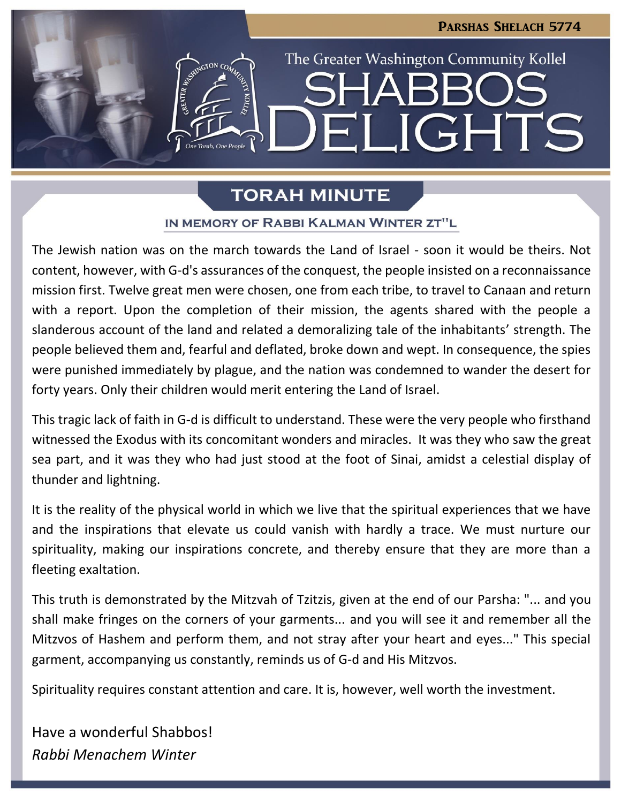LIGHTS

The Greater Washington Community Kollel

# **TORAH MINUTE**

 $\blacksquare$ 

# IN MEMORY OF RABBI KALMAN WINTER ZT"L

The Jewish nation was on the march towards the Land of Israel - soon it would be theirs. Not content, however, with G-d's assurances of the conquest, the people insisted on a reconnaissance mission first. Twelve great men were chosen, one from each tribe, to travel to Canaan and return with a report. Upon the completion of their mission, the agents shared with the people a slanderous account of the land and related a demoralizing tale of the inhabitants' strength. The people believed them and, fearful and deflated, broke down and wept. In consequence, the spies were punished immediately by plague, and the nation was condemned to wander the desert for forty years. Only their children would merit entering the Land of Israel.

This tragic lack of faith in G-d is difficult to understand. These were the very people who firsthand witnessed the Exodus with its concomitant wonders and miracles. It was they who saw the great sea part, and it was they who had just stood at the foot of Sinai, amidst a celestial display of thunder and lightning.

It is the reality of the physical world in which we live that the spiritual experiences that we have and the inspirations that elevate us could vanish with hardly a trace. We must nurture our spirituality, making our inspirations concrete, and thereby ensure that they are more than a fleeting exaltation.

This truth is demonstrated by the Mitzvah of Tzitzis, given at the end of our Parsha: "... and you shall make fringes on the corners of your garments... and you will see it and remember all the Mitzvos of Hashem and perform them, and not stray after your heart and eyes..." This special garment, accompanying us constantly, reminds us of G-d and His Mitzvos.

**If you would like to sign up to receive the weekly "Shabbos Delights" by email, please send an email to [info@gwckollel.org.](mailto:info@gwckollel.org)**

Spirituality requires constant attention and care. It is, however, well worth the investment.

Have a wonderful Shabbos! *Rabbi Menachem Winter*